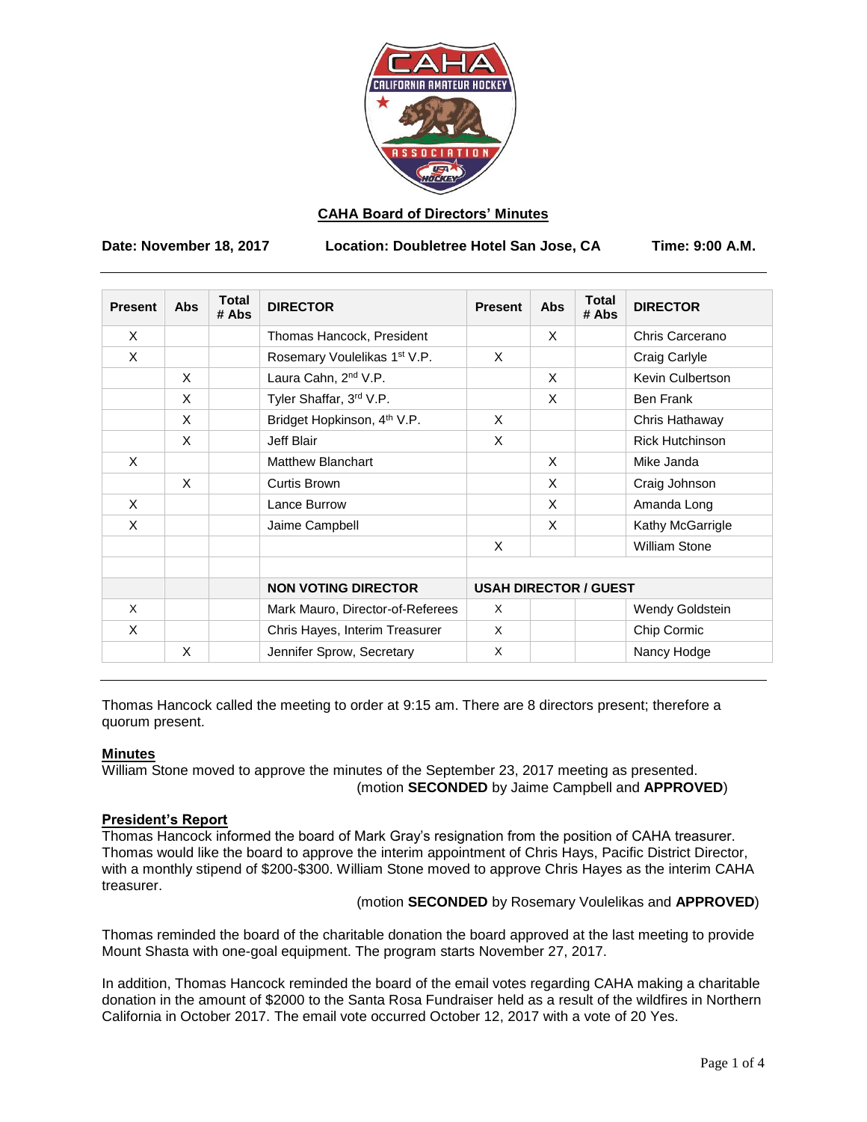

## **CAHA Board of Directors' Minutes**

**Date: November 18, 2017 Location: Doubletree Hotel San Jose, CA Time: 9:00 A.M.**

| <b>Present</b> | <b>Abs</b> | <b>Total</b><br># Abs | <b>DIRECTOR</b>                          | <b>Present</b>               | <b>Abs</b> | <b>Total</b><br># Abs | <b>DIRECTOR</b>        |
|----------------|------------|-----------------------|------------------------------------------|------------------------------|------------|-----------------------|------------------------|
| X              |            |                       | Thomas Hancock, President                |                              | X          |                       | Chris Carcerano        |
| $\times$       |            |                       | Rosemary Voulelikas 1 <sup>st</sup> V.P. | X                            |            |                       | Craig Carlyle          |
|                | X          |                       | Laura Cahn, 2 <sup>nd</sup> V.P.         |                              | X          |                       | Kevin Culbertson       |
|                | X          |                       | Tyler Shaffar, 3rd V.P.                  |                              | X          |                       | Ben Frank              |
|                | X          |                       | Bridget Hopkinson, 4 <sup>th</sup> V.P.  | X                            |            |                       | Chris Hathaway         |
|                | X          |                       | Jeff Blair                               | X                            |            |                       | <b>Rick Hutchinson</b> |
| $\times$       |            |                       | <b>Matthew Blanchart</b>                 |                              | X          |                       | Mike Janda             |
|                | $\times$   |                       | <b>Curtis Brown</b>                      |                              | X          |                       | Craig Johnson          |
| X              |            |                       | Lance Burrow                             |                              | X          |                       | Amanda Long            |
| X              |            |                       | Jaime Campbell                           |                              | X          |                       | Kathy McGarrigle       |
|                |            |                       |                                          | X                            |            |                       | <b>William Stone</b>   |
|                |            |                       |                                          |                              |            |                       |                        |
|                |            |                       | <b>NON VOTING DIRECTOR</b>               | <b>USAH DIRECTOR / GUEST</b> |            |                       |                        |
| X              |            |                       | Mark Mauro, Director-of-Referees         | X                            |            |                       | Wendy Goldstein        |
| X              |            |                       | Chris Hayes, Interim Treasurer           | X                            |            |                       | Chip Cormic            |
|                | X          |                       | Jennifer Sprow, Secretary                | X                            |            |                       | Nancy Hodge            |

Thomas Hancock called the meeting to order at 9:15 am. There are 8 directors present; therefore a quorum present.

#### **Minutes**

William Stone moved to approve the minutes of the September 23, 2017 meeting as presented. (motion **SECONDED** by Jaime Campbell and **APPROVED**)

## **President's Report**

Thomas Hancock informed the board of Mark Gray's resignation from the position of CAHA treasurer. Thomas would like the board to approve the interim appointment of Chris Hays, Pacific District Director, with a monthly stipend of \$200-\$300. William Stone moved to approve Chris Hayes as the interim CAHA treasurer.

(motion **SECONDED** by Rosemary Voulelikas and **APPROVED**)

Thomas reminded the board of the charitable donation the board approved at the last meeting to provide Mount Shasta with one-goal equipment. The program starts November 27, 2017.

In addition, Thomas Hancock reminded the board of the email votes regarding CAHA making a charitable donation in the amount of \$2000 to the Santa Rosa Fundraiser held as a result of the wildfires in Northern California in October 2017. The email vote occurred October 12, 2017 with a vote of 20 Yes.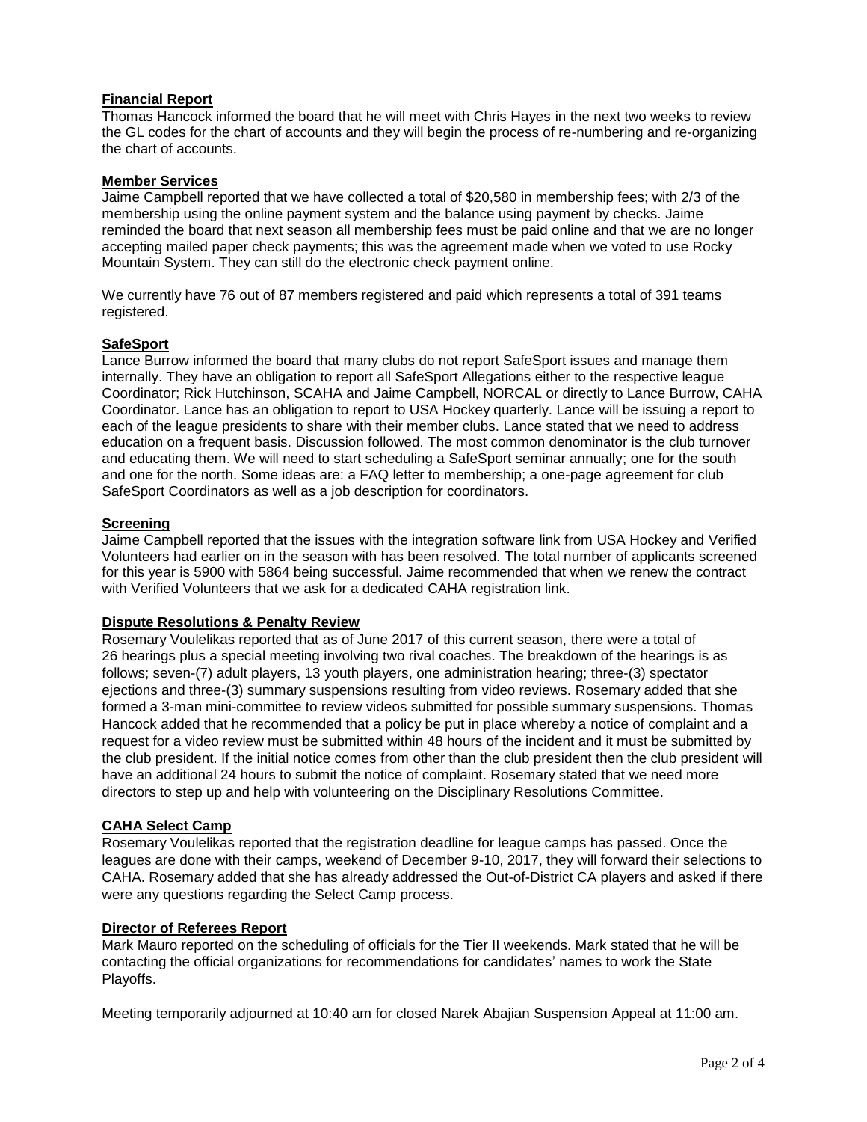### **Financial Report**

Thomas Hancock informed the board that he will meet with Chris Hayes in the next two weeks to review the GL codes for the chart of accounts and they will begin the process of re-numbering and re-organizing the chart of accounts.

### **Member Services**

Jaime Campbell reported that we have collected a total of \$20,580 in membership fees; with 2/3 of the membership using the online payment system and the balance using payment by checks. Jaime reminded the board that next season all membership fees must be paid online and that we are no longer accepting mailed paper check payments; this was the agreement made when we voted to use Rocky Mountain System. They can still do the electronic check payment online.

We currently have 76 out of 87 members registered and paid which represents a total of 391 teams registered.

# **SafeSport**

Lance Burrow informed the board that many clubs do not report SafeSport issues and manage them internally. They have an obligation to report all SafeSport Allegations either to the respective league Coordinator; Rick Hutchinson, SCAHA and Jaime Campbell, NORCAL or directly to Lance Burrow, CAHA Coordinator. Lance has an obligation to report to USA Hockey quarterly. Lance will be issuing a report to each of the league presidents to share with their member clubs. Lance stated that we need to address education on a frequent basis. Discussion followed. The most common denominator is the club turnover and educating them. We will need to start scheduling a SafeSport seminar annually; one for the south and one for the north. Some ideas are: a FAQ letter to membership; a one-page agreement for club SafeSport Coordinators as well as a job description for coordinators.

## **Screening**

Jaime Campbell reported that the issues with the integration software link from USA Hockey and Verified Volunteers had earlier on in the season with has been resolved. The total number of applicants screened for this year is 5900 with 5864 being successful. Jaime recommended that when we renew the contract with Verified Volunteers that we ask for a dedicated CAHA registration link.

### **Dispute Resolutions & Penalty Review**

Rosemary Voulelikas reported that as of June 2017 of this current season, there were a total of 26 hearings plus a special meeting involving two rival coaches. The breakdown of the hearings is as follows; seven-(7) adult players, 13 youth players, one administration hearing; three-(3) spectator ejections and three-(3) summary suspensions resulting from video reviews. Rosemary added that she formed a 3-man mini-committee to review videos submitted for possible summary suspensions. Thomas Hancock added that he recommended that a policy be put in place whereby a notice of complaint and a request for a video review must be submitted within 48 hours of the incident and it must be submitted by the club president. If the initial notice comes from other than the club president then the club president will have an additional 24 hours to submit the notice of complaint. Rosemary stated that we need more directors to step up and help with volunteering on the Disciplinary Resolutions Committee.

## **CAHA Select Camp**

Rosemary Voulelikas reported that the registration deadline for league camps has passed. Once the leagues are done with their camps, weekend of December 9-10, 2017, they will forward their selections to CAHA. Rosemary added that she has already addressed the Out-of-District CA players and asked if there were any questions regarding the Select Camp process.

### **Director of Referees Report**

Mark Mauro reported on the scheduling of officials for the Tier II weekends. Mark stated that he will be contacting the official organizations for recommendations for candidates' names to work the State Playoffs.

Meeting temporarily adjourned at 10:40 am for closed Narek Abajian Suspension Appeal at 11:00 am.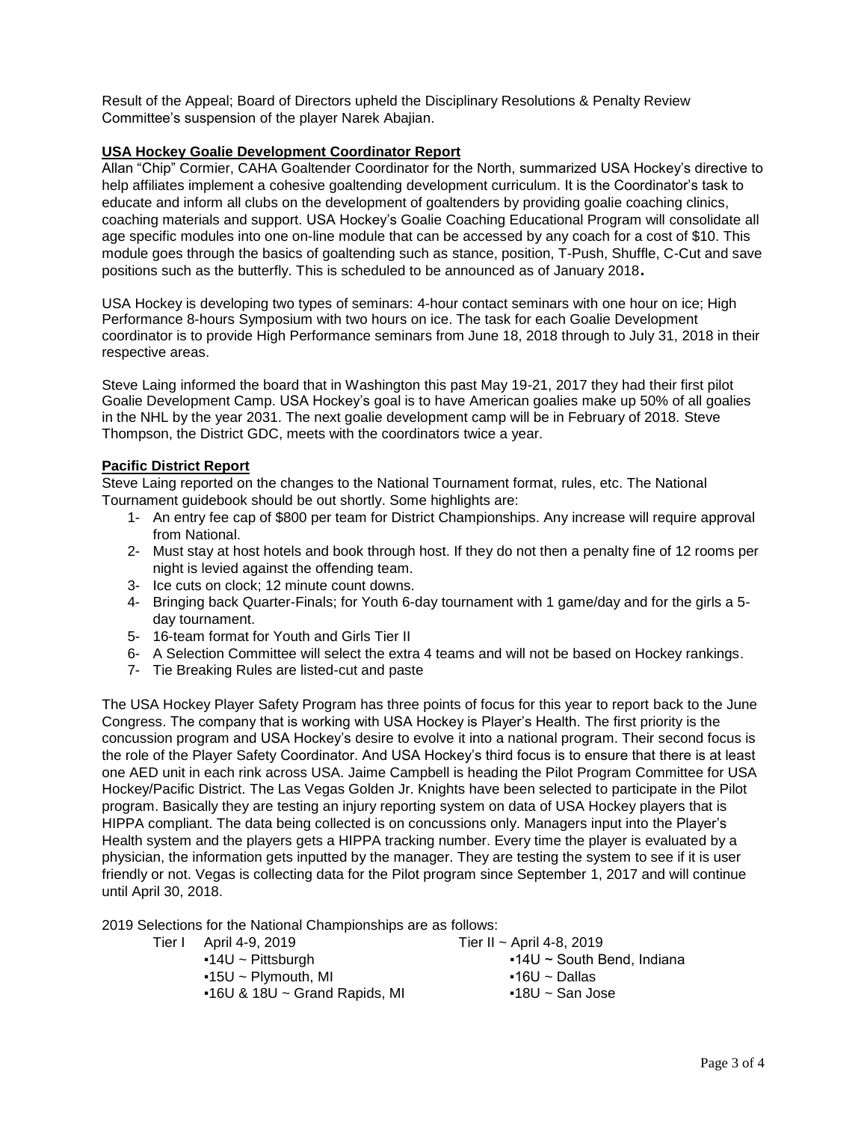Result of the Appeal; Board of Directors upheld the Disciplinary Resolutions & Penalty Review Committee's suspension of the player Narek Abajian.

## **USA Hockey Goalie Development Coordinator Report**

Allan "Chip" Cormier, CAHA Goaltender Coordinator for the North, summarized USA Hockey's directive to help affiliates implement a cohesive goaltending development curriculum. It is the Coordinator's task to educate and inform all clubs on the development of goaltenders by providing goalie coaching clinics, coaching materials and support. USA Hockey's Goalie Coaching Educational Program will consolidate all age specific modules into one on-line module that can be accessed by any coach for a cost of \$10. This module goes through the basics of goaltending such as stance, position, T-Push, Shuffle, C-Cut and save positions such as the butterfly. This is scheduled to be announced as of January <sup>2018</sup>.

USA Hockey is developing two types of seminars: 4-hour contact seminars with one hour on ice; High Performance 8-hours Symposium with two hours on ice. The task for each Goalie Development coordinator is to provide High Performance seminars from June 18, 2018 through to July 31, 2018 in their respective areas.

Steve Laing informed the board that in Washington this past May 19-21, 2017 they had their first pilot Goalie Development Camp. USA Hockey's goal is to have American goalies make up 50% of all goalies in the NHL by the year 2031. The next goalie development camp will be in February of 2018. Steve Thompson, the District GDC, meets with the coordinators twice a year.

### **Pacific District Report**

Steve Laing reported on the changes to the National Tournament format, rules, etc. The National Tournament guidebook should be out shortly. Some highlights are:

- 1- An entry fee cap of \$800 per team for District Championships. Any increase will require approval from National.
- 2- Must stay at host hotels and book through host. If they do not then a penalty fine of 12 rooms per night is levied against the offending team.
- 3- Ice cuts on clock; 12 minute count downs.
- 4- Bringing back Quarter-Finals; for Youth 6-day tournament with 1 game/day and for the girls a 5 day tournament.
- 5- 16-team format for Youth and Girls Tier II
- 6- A Selection Committee will select the extra 4 teams and will not be based on Hockey rankings.
- 7- Tie Breaking Rules are listed-cut and paste

The USA Hockey Player Safety Program has three points of focus for this year to report back to the June Congress. The company that is working with USA Hockey is Player's Health. The first priority is the concussion program and USA Hockey's desire to evolve it into a national program. Their second focus is the role of the Player Safety Coordinator. And USA Hockey's third focus is to ensure that there is at least one AED unit in each rink across USA. Jaime Campbell is heading the Pilot Program Committee for USA Hockey/Pacific District. The Las Vegas Golden Jr. Knights have been selected to participate in the Pilot program. Basically they are testing an injury reporting system on data of USA Hockey players that is HIPPA compliant. The data being collected is on concussions only. Managers input into the Player's Health system and the players gets a HIPPA tracking number. Every time the player is evaluated by a physician, the information gets inputted by the manager. They are testing the system to see if it is user friendly or not. Vegas is collecting data for the Pilot program since September 1, 2017 and will continue until April 30, 2018.

2019 Selections for the National Championships are as follows:

- Tier I April 4-9, 2019 Tier II ~ April 4-8, 2019
	-
	- $-15U \sim$  Plymouth, MI  $-16U \sim$  Dallas
	- $-16$ U & 18U ~ Grand Rapids, MI  $-18$ U ~ San Jose
	- ■14U ~ Pittsburgh 14U ~ South Bend, Indiana
		-
		-